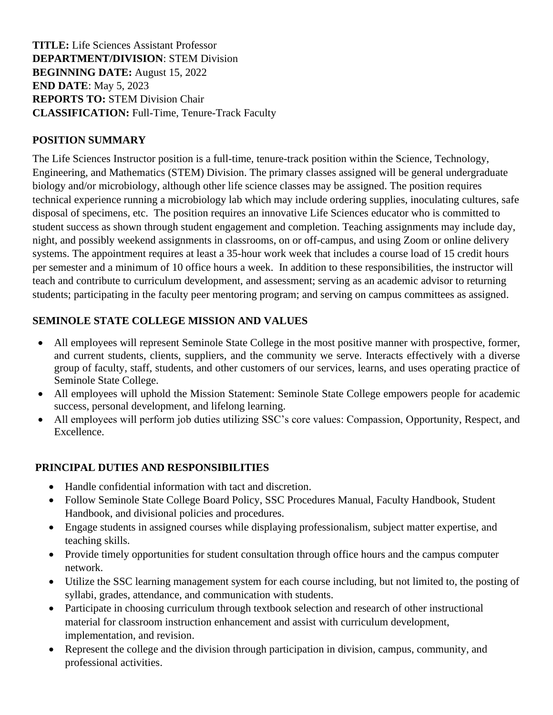**TITLE:** Life Sciences Assistant Professor **DEPARTMENT/DIVISION**: STEM Division **BEGINNING DATE:** August 15, 2022 **END DATE**: May 5, 2023 **REPORTS TO:** STEM Division Chair **CLASSIFICATION:** Full-Time, Tenure-Track Faculty

### **POSITION SUMMARY**

The Life Sciences Instructor position is a full-time, tenure-track position within the Science, Technology, Engineering, and Mathematics (STEM) Division. The primary classes assigned will be general undergraduate biology and/or microbiology, although other life science classes may be assigned. The position requires technical experience running a microbiology lab which may include ordering supplies, inoculating cultures, safe disposal of specimens, etc. The position requires an innovative Life Sciences educator who is committed to student success as shown through student engagement and completion. Teaching assignments may include day, night, and possibly weekend assignments in classrooms, on or off-campus, and using Zoom or online delivery systems. The appointment requires at least a 35-hour work week that includes a course load of 15 credit hours per semester and a minimum of 10 office hours a week. In addition to these responsibilities, the instructor will teach and contribute to curriculum development, and assessment; serving as an academic advisor to returning students; participating in the faculty peer mentoring program; and serving on campus committees as assigned.

## **SEMINOLE STATE COLLEGE MISSION AND VALUES**

- All employees will represent Seminole State College in the most positive manner with prospective, former, and current students, clients, suppliers, and the community we serve. Interacts effectively with a diverse group of faculty, staff, students, and other customers of our services, learns, and uses operating practice of Seminole State College.
- All employees will uphold the Mission Statement: Seminole State College empowers people for academic success, personal development, and lifelong learning.
- All employees will perform job duties utilizing SSC's core values: Compassion, Opportunity, Respect, and Excellence.

## **PRINCIPAL DUTIES AND RESPONSIBILITIES**

- Handle confidential information with tact and discretion.
- Follow Seminole State College Board Policy, SSC Procedures Manual, Faculty Handbook, Student Handbook, and divisional policies and procedures.
- Engage students in assigned courses while displaying professionalism, subject matter expertise, and teaching skills.
- Provide timely opportunities for student consultation through office hours and the campus computer network.
- Utilize the SSC learning management system for each course including, but not limited to, the posting of syllabi, grades, attendance, and communication with students.
- Participate in choosing curriculum through textbook selection and research of other instructional material for classroom instruction enhancement and assist with curriculum development, implementation, and revision.
- Represent the college and the division through participation in division, campus, community, and professional activities.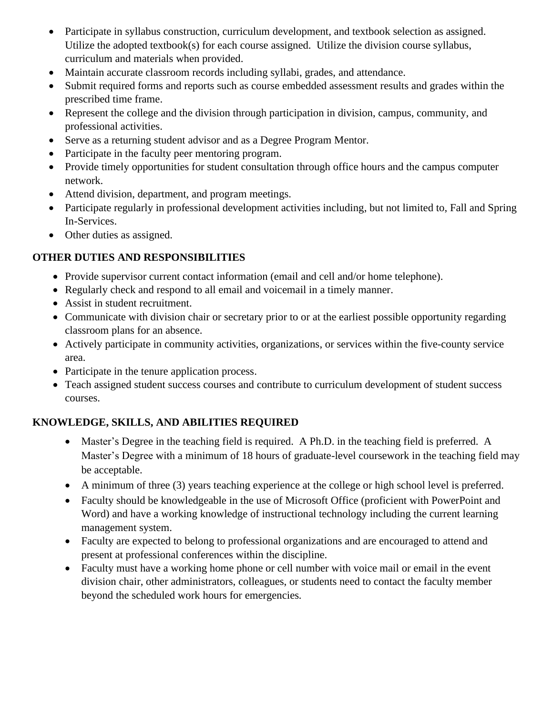- Participate in syllabus construction, curriculum development, and textbook selection as assigned. Utilize the adopted textbook(s) for each course assigned. Utilize the division course syllabus, curriculum and materials when provided.
- Maintain accurate classroom records including syllabi, grades, and attendance.
- Submit required forms and reports such as course embedded assessment results and grades within the prescribed time frame.
- Represent the college and the division through participation in division, campus, community, and professional activities.
- Serve as a returning student advisor and as a Degree Program Mentor.
- Participate in the faculty peer mentoring program.
- Provide timely opportunities for student consultation through office hours and the campus computer network.
- Attend division, department, and program meetings.
- Participate regularly in professional development activities including, but not limited to, Fall and Spring In-Services.
- Other duties as assigned.

## **OTHER DUTIES AND RESPONSIBILITIES**

- Provide supervisor current contact information (email and cell and/or home telephone).
- Regularly check and respond to all email and voicemail in a timely manner.
- Assist in student recruitment.
- Communicate with division chair or secretary prior to or at the earliest possible opportunity regarding classroom plans for an absence.
- Actively participate in community activities, organizations, or services within the five-county service area.
- Participate in the tenure application process.
- Teach assigned student success courses and contribute to curriculum development of student success courses.

# **KNOWLEDGE, SKILLS, AND ABILITIES REQUIRED**

- Master's Degree in the teaching field is required. A Ph.D. in the teaching field is preferred. A Master's Degree with a minimum of 18 hours of graduate-level coursework in the teaching field may be acceptable.
- A minimum of three (3) years teaching experience at the college or high school level is preferred.
- Faculty should be knowledgeable in the use of Microsoft Office (proficient with PowerPoint and Word) and have a working knowledge of instructional technology including the current learning management system.
- Faculty are expected to belong to professional organizations and are encouraged to attend and present at professional conferences within the discipline.
- Faculty must have a working home phone or cell number with voice mail or email in the event division chair, other administrators, colleagues, or students need to contact the faculty member beyond the scheduled work hours for emergencies*.*